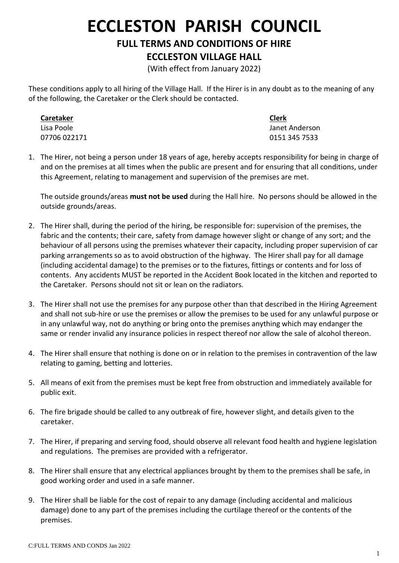## **ECCLESTON PARISH COUNCIL**

**FULL TERMS AND CONDITIONS OF HIRE**

## **ECCLESTON VILLAGE HALL**

(With effect from January 2022)

These conditions apply to all hiring of the Village Hall. If the Hirer is in any doubt as to the meaning of any of the following, the Caretaker or the Clerk should be contacted.

**Caretaker Clerk**

Lisa Poole Janet Anderson 07706 022171 0151 345 7533

1. The Hirer, not being a person under 18 years of age, hereby accepts responsibility for being in charge of and on the premises at all times when the public are present and for ensuring that all conditions, under this Agreement, relating to management and supervision of the premises are met.

The outside grounds/areas **must not be used** during the Hall hire. No persons should be allowed in the outside grounds/areas.

- 2. The Hirer shall, during the period of the hiring, be responsible for: supervision of the premises, the fabric and the contents; their care, safety from damage however slight or change of any sort; and the behaviour of all persons using the premises whatever their capacity, including proper supervision of car parking arrangements so as to avoid obstruction of the highway. The Hirer shall pay for all damage (including accidental damage) to the premises or to the fixtures, fittings or contents and for loss of contents. Any accidents MUST be reported in the Accident Book located in the kitchen and reported to the Caretaker. Persons should not sit or lean on the radiators.
- 3. The Hirer shall not use the premises for any purpose other than that described in the Hiring Agreement and shall not sub-hire or use the premises or allow the premises to be used for any unlawful purpose or in any unlawful way, not do anything or bring onto the premises anything which may endanger the same or render invalid any insurance policies in respect thereof nor allow the sale of alcohol thereon.
- 4. The Hirer shall ensure that nothing is done on or in relation to the premises in contravention of the law relating to gaming, betting and lotteries.
- 5. All means of exit from the premises must be kept free from obstruction and immediately available for public exit.
- 6. The fire brigade should be called to any outbreak of fire, however slight, and details given to the caretaker.
- 7. The Hirer, if preparing and serving food, should observe all relevant food health and hygiene legislation and regulations. The premises are provided with a refrigerator.
- 8. The Hirer shall ensure that any electrical appliances brought by them to the premises shall be safe, in good working order and used in a safe manner.
- 9. The Hirer shall be liable for the cost of repair to any damage (including accidental and malicious damage) done to any part of the premises including the curtilage thereof or the contents of the premises.